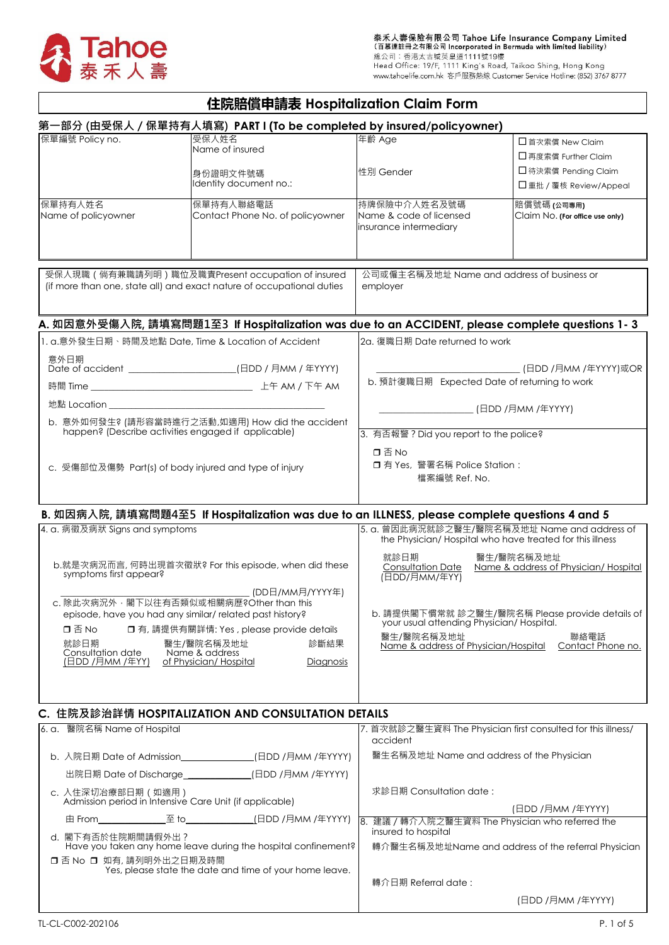

# **住院賠償申請表 Hospitalization Claim Form**

|                                              | 第一部分 (由受保人/保單持有人填寫) PART I (To be completed by insured/policyowner)                                 |                                                    |                                                                                                          |
|----------------------------------------------|-----------------------------------------------------------------------------------------------------|----------------------------------------------------|----------------------------------------------------------------------------------------------------------|
| 保單編號 Policy no.                              | 受保人姓名                                                                                               | 年齡 Age                                             | □首次索償 New Claim                                                                                          |
|                                              | Name of insured                                                                                     |                                                    | □ 再度索償 Further Claim                                                                                     |
|                                              | 身份證明文件號碼                                                                                            | 性別 Gender                                          | □ 待決索償 Pending Claim                                                                                     |
|                                              | Identity document no.:                                                                              |                                                    | □重批 / 覆核 Review/Appeal                                                                                   |
| 保單持有人姓名                                      | 保單持有人聯絡電話                                                                                           | 持牌保險中介人姓名及號碼                                       | 賠償號碼 (公司專用)                                                                                              |
| Name of policyowner                          | Contact Phone No. of policyowner                                                                    | Name & code of licensed                            | Claim No. (For office use only)                                                                          |
|                                              |                                                                                                     | insurance intermediary                             |                                                                                                          |
|                                              |                                                                                                     |                                                    |                                                                                                          |
|                                              | 受保人現職 (倘有兼職請列明) 職位及職責Present occupation of insured                                                  | 公司或僱主名稱及地址 Name and address of business or         |                                                                                                          |
|                                              | (if more than one, state all) and exact nature of occupational duties                               | employer                                           |                                                                                                          |
|                                              |                                                                                                     |                                                    |                                                                                                          |
|                                              | A. 如因意外受傷入院, 請填寫問題1至3 If Hospitalization was due to an ACCIDENT, please complete questions 1-3      |                                                    |                                                                                                          |
|                                              | 1. a.意外發生日期、時間及地點 Date, Time & Location of Accident                                                 | 2a. 復職日期 Date returned to work                     |                                                                                                          |
| 意外日期                                         |                                                                                                     |                                                    | . (日DD /月MM /年YYYY)或OR                                                                                   |
|                                              |                                                                                                     | b. 預計復職日期 Expected Date of returning to work       |                                                                                                          |
| 地點 Location スペット しゅうしょう しょうしょう しんしょう せいしんしょう |                                                                                                     |                                                    |                                                                                                          |
|                                              | b. 意外如何發生? (請形容當時進行之活動,如適用) How did the accident                                                    | _________________ (日DD /月MM /年YYYY)                |                                                                                                          |
|                                              | happen? (Describe activities engaged if applicable)                                                 | 3. 有否報警 ? Did you report to the police?            |                                                                                                          |
|                                              |                                                                                                     | 口否No                                               |                                                                                                          |
|                                              | c. 受傷部位及傷勢 Part(s) of body injured and type of injury                                               | □ 有 Yes, 警署名稱 Police Station:                      |                                                                                                          |
|                                              |                                                                                                     | 檔案編號 Ref. No.                                      |                                                                                                          |
|                                              |                                                                                                     |                                                    |                                                                                                          |
|                                              | B. 如因病入院, 請填寫問題4至5 If Hospitalization was due to an ILLNESS, please complete questions 4 and 5      |                                                    |                                                                                                          |
| 4. a. 病徵及病狀 Signs and symptoms               |                                                                                                     |                                                    | 5. a. 曾因此病況就診之醫生/醫院名稱及地址 Name and address of<br>the Physician/Hospital who have treated for this illness |
|                                              | b.就是次病況而言, 何時出現首次徵狀? For this episode, when did these                                               | 就診日期                                               | 醫生/醫院名稱及地址<br>Name & address of Physician/Hospital                                                       |
| symptoms first appear?                       |                                                                                                     | <b>Consultation Date</b><br>(日DD/月MM/年YY)          |                                                                                                          |
|                                              | (DD日/MM月/YYYY年)                                                                                     |                                                    |                                                                                                          |
|                                              | c. 除此次病況外, 閣下以往有否類似或相關病歷?Other than this<br>episode, have you had any similar/related past history? |                                                    | b. 請提供閣下慣常就 診之醫生/醫院名稱 Please provide details of                                                          |
| 口否No                                         | □ 有, 請提供有關詳情: Yes, please provide details                                                           | your usual attending Physician/ Hospital.          |                                                                                                          |
| 就診日期                                         | 醫生/醫院名稱及地址<br>診斷結果                                                                                  | 醫生/醫院名稱及地址<br>Name & address of Physician/Hospital | 聯絡電話<br>Contact Phone no.                                                                                |
| Consultation date<br>(日DD /月MM /年YY)         | Name & address<br>of Physician/Hospital<br>Diagnosis                                                |                                                    |                                                                                                          |
|                                              |                                                                                                     |                                                    |                                                                                                          |
|                                              |                                                                                                     |                                                    |                                                                                                          |
|                                              | C. 住院及診治詳情 HOSPITALIZATION AND CONSULTATION DETAILS                                                 |                                                    |                                                                                                          |
| 6. a. 醫院名稱 Name of Hospital                  |                                                                                                     |                                                    | 7. 首次就診之醫生資料 The Physician first consulted for this illness/                                             |
|                                              |                                                                                                     | accident                                           |                                                                                                          |
|                                              | b. 入院日期 Date of Admission______________(日DD /月MM /年YYYY)                                            | 醫生名稱及地址 Name and address of the Physician          |                                                                                                          |
|                                              | 出院日期 Date of Discharge_____________(日DD /月MM /年YYYY)                                                |                                                    |                                                                                                          |
| c. 入住深切冶療部日期 (如適用)                           | Admission period in Intensive Care Unit (if applicable)                                             | 求診日期 Consultation date:                            |                                                                                                          |
|                                              |                                                                                                     | 8. 建議 / 轉介入院之醫生資料 The Physician who referred the   | (日DD /月MM /年YYYY)                                                                                        |
| d. 閣下有否於住院期間請假外出?                            | Have you taken any home leave during the hospital confinement?                                      | insured to hospital                                | 轉介醫生名稱及地址Name and address of the referral Physician                                                      |
| □ 否 No □ 如有, 請列明外出之日期及時間                     | Yes, please state the date and time of your home leave.                                             |                                                    |                                                                                                          |

轉介日期 Referral date :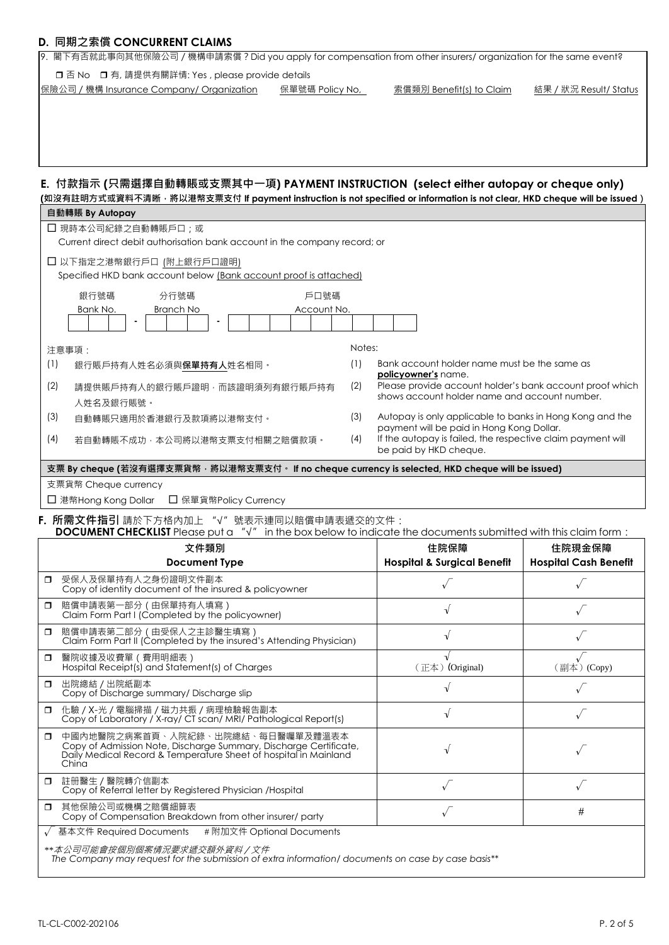#### **D. 同期之索償 CONCURRENT CLAIMS**

| □ 否 No □ 有, 請提供有關詳情: Yes, please provide details<br>∥保險公司 / 機構 Insurance Company/ Organization                                                                                       | 保單號碼 Policy No, | 索償類別 Benefit(s) to Claim                                                                              | 結果 / 狀況 Result/ Status       |
|--------------------------------------------------------------------------------------------------------------------------------------------------------------------------------------|-----------------|-------------------------------------------------------------------------------------------------------|------------------------------|
|                                                                                                                                                                                      |                 |                                                                                                       |                              |
|                                                                                                                                                                                      |                 |                                                                                                       |                              |
|                                                                                                                                                                                      |                 |                                                                                                       |                              |
|                                                                                                                                                                                      |                 |                                                                                                       |                              |
| E. 付款指示 (只需選擇自動轉賬或支票其中一項) PAYMENT INSTRUCTION (select either autopay or cheque only)                                                                                                 |                 |                                                                                                       |                              |
| (如沒有註明方式或資料不清晰 <sup>,</sup> 將以港幣支票支付 If payment instruction is not specified or information is not clear <i>,</i> HKD cheque will be issued)                                         |                 |                                                                                                       |                              |
| 自動轉賬 By Autopay                                                                                                                                                                      |                 |                                                                                                       |                              |
| □ 現時本公司紀錄之自動轉賬戶口;或                                                                                                                                                                   |                 |                                                                                                       |                              |
| Current direct debit authorisation bank account in the company record; or                                                                                                            |                 |                                                                                                       |                              |
| □ 以下指定之港幣銀行戶口 (附上銀行戶口證明)<br>Specified HKD bank account below (Bank account proof is attached)                                                                                        |                 |                                                                                                       |                              |
| 分行號碼<br>銀行號碼                                                                                                                                                                         | 戶口號碼            |                                                                                                       |                              |
| Bank No.<br>Branch No                                                                                                                                                                | Account No.     |                                                                                                       |                              |
|                                                                                                                                                                                      |                 |                                                                                                       |                              |
| 注意事項:                                                                                                                                                                                | Notes:          |                                                                                                       |                              |
| (1)<br>銀行賬戶持有人姓名必須與 <b>保單持有人</b> 姓名相同。                                                                                                                                               | (1)             | Bank account holder name must be the same as                                                          |                              |
| (2)<br>請提供賬戶持有人的銀行賬戶證明,而該證明須列有銀行賬戶持有                                                                                                                                                 | (2)             | policyowner's name.<br>Please provide account holder's bank account proof which                       |                              |
| 人姓名及銀行賬號。                                                                                                                                                                            |                 | shows account holder name and account number.                                                         |                              |
| (3)<br>自動轉賬只適用於香港銀行及款項將以港幣支付。                                                                                                                                                        | (3)             | Autopay is only applicable to banks in Hong Kong and the<br>payment will be paid in Hong Kong Dollar. |                              |
| (4)<br>若自動轉賬不成功,本公司將以港幣支票支付相關之賠償款項。                                                                                                                                                  | (4)             | If the autopay is failed, the respective claim payment will<br>be paid by HKD cheque.                 |                              |
| 支票 By cheque (若沒有選擇支票貨幣, 將以港幣支票支付。 If no cheque currency is selected, HKD cheque will be issued)                                                                                     |                 |                                                                                                       |                              |
|                                                                                                                                                                                      |                 |                                                                                                       |                              |
| 支票貨幣 Cheque currency                                                                                                                                                                 |                 |                                                                                                       |                              |
| □ 保單貨幣Policy Currency<br>□ 港幣Hong Kong Dollar                                                                                                                                        |                 |                                                                                                       |                              |
|                                                                                                                                                                                      |                 |                                                                                                       |                              |
| DOCUMENT CHECKLIST Please put a " $\sqrt{ }$ " in the box below to indicate the documents submitted with this claim form:<br>文件類別                                                    |                 | 住院保障                                                                                                  | 住院現金保障                       |
| <b>Document Type</b>                                                                                                                                                                 |                 | <b>Hospital &amp; Surgical Benefit</b>                                                                | <b>Hospital Cash Benefit</b> |
| 受保人及保單持有人之身份證明文件副本<br>Ο.<br>Copy of identity document of the insured & policyowner                                                                                                   |                 |                                                                                                       |                              |
| 賠償申請表第一部分 (由保單持有人填寫)<br>0<br>Claim Form Part I (Completed by the policyowner)                                                                                                        |                 | $\sqrt{ }$                                                                                            |                              |
| 賠償申請表第二部分 (由受保人之主診醫生填寫)<br>0<br>Claim Form Part II (Completed by the insured's Attending Physician)                                                                                  |                 | $\sqrt{ }$                                                                                            |                              |
| 醫院收據及收費單(費用明細表)<br>Π.<br>Hospital Receipt(s) and Statement(s) of Charges                                                                                                             |                 | (正本) (Original)                                                                                       | (副本) (Copy)                  |
| □ 出院總結 / 出院紙副本<br>Copy of Discharge summary/ Discharge slip                                                                                                                          |                 | $\sqrt{}$                                                                                             |                              |
| □ 化驗 / X-光 / 電腦掃描 / 磁力共振 / 病理檢驗報告副本<br>Copy of Laboratory / X-ray/ CT scan/ MRI/ Pathological Report(s)                                                                              |                 | $\sqrt{}$                                                                                             |                              |
| □ 中國內地醫院之病案首頁、入院紀錄、出院總結、每日醫囑單及體溫表本<br>Copy of Admission Note, Discharge Summary, Discharge Certificate,<br>Daily Medical Record & Temperature Sheet of hospital in Mainland<br>China |                 | √                                                                                                     |                              |
| 註冊醫生/醫院轉介信副本<br>α.<br>Copy of Referral letter by Registered Physician /Hospital                                                                                                      |                 | $\sqrt$                                                                                               | $\sqrt{ }$                   |
| 其他保險公司或機構之賠償細算表<br>0<br>Copy of Compensation Breakdown from other insurer/ party                                                                                                     |                 | $\sqrt{ }$                                                                                            | #                            |
| F. 所需文件指引 請於下方格內加上 "√" 號表示連同以賠償申請表遞交的文件:<br>基本文件 Required Documents<br># 附加文件 Optional Documents                                                                                     |                 |                                                                                                       |                              |

9. 閣下有否就此事向其他保險公司/機構申請索償?Did you apply for compensation from other insurers/ organization for the same event?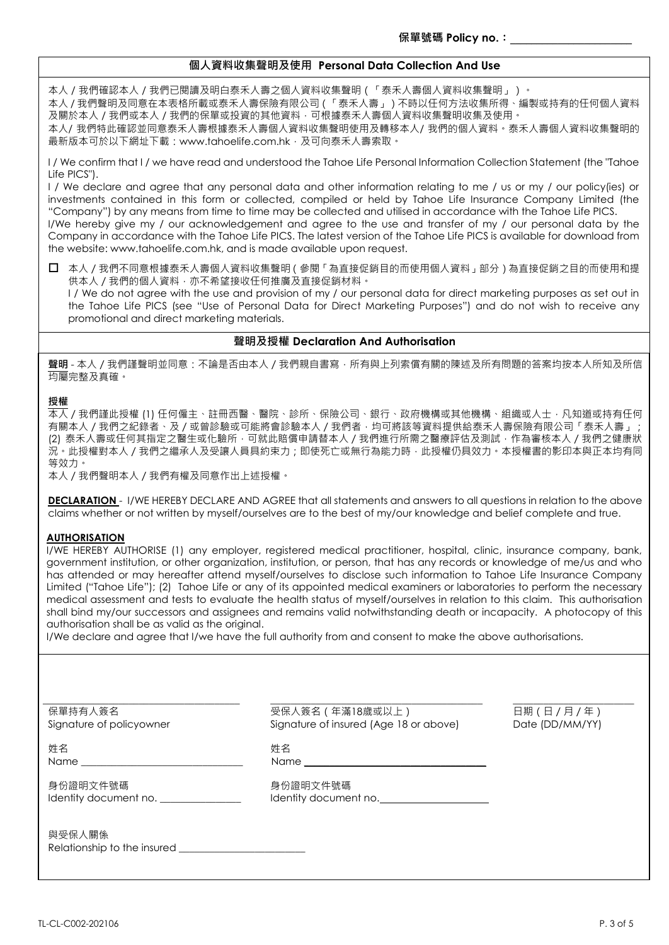### **個人資料收集聲明及使用 Personal Data Collection And Use**

本人 / 我們確認本人 / 我們已閱讀及明白泰禾人壽之個人資料收集聲明(「泰禾人壽個人資料收集聲明」)。

本人 / 我們聲明及同意在本表格所載或泰禾人壽保險有限公司(「泰禾人壽」)不時以任何方法收集所得、編製或持有的任何個人資料 及關於本人 / 我們或本人 / 我們的保單或投資的其他資料,可根據泰禾人壽個人資料收集聲明收集及使用。

本人/ 我們特此確認並同意泰禾人壽根據泰禾人壽個人資料收集聲明使用及轉移本人/ 我們的個人資料。泰禾人壽個人資料收集聲明的 最新版本可於以下網址下載:www.tahoelife.com.hk,及可向泰禾人壽索取。

I / We confirm that I / we have read and understood the Tahoe Life Personal Information Collection Statement (the "Tahoe Life PICS").

I / We declare and agree that any personal data and other information relating to me / us or my / our policy(ies) or investments contained in this form or collected, compiled or held by Tahoe Life Insurance Company Limited (the "Company") by any means from time to time may be collected and utilised in accordance with the Tahoe Life PICS. I/We hereby give my / our acknowledgement and agree to the use and transfer of my / our personal data by the Company in accordance with the Tahoe Life PICS. The latest version of the Tahoe Life PICS is available for download from the website: www.tahoelife.com.hk, and is made available upon request.

 本人/我們不同意根據泰禾人壽個人資料收集聲明(參閱「為直接促銷目的而使用個人資料」部分)為直接促銷之目的而使用和提 供本人 / 我們的個人資料, 亦不希望接收任何推廣及直接促銷材料。

I / We do not agree with the use and provision of my / our personal data for direct marketing purposes as set out in the Tahoe Life PICS (see "Use of Personal Data for Direct Marketing Purposes") and do not wish to receive any promotional and direct marketing materials.

#### **聲明及授權 Declaration And Authorisation**

**聲明** - 本人/我們謹聲明並同意:不論是否由本人/我們親自書寫,所有與上列索償有關的陳述及所有問題的答案均按本人所知及所信 均屬完整及真確。

#### **授權**

本人/我們謹此授權 (1) 任何僱主、註冊西醫、醫院、診所、保險公司、銀行、政府機構或其他機構、組織或人士,凡知道或持有任何 有關本人 / 我們之紀錄者、及 / 或曾診驗或可能將會診驗本人 / 我們者, 均可將該等資料提供給泰禾人壽保險有限公司「泰禾人壽」 (2) 泰禾人壽或任何其指定之醫生或化驗所,可就此賠償申請替本人 / 我們進行所需之醫療評估及測試, 作為審核本人 / 我們之健康狀 況。此授權對本人 / 我們之繼承人及受讓人員具約束力; 即使死亡或無行為能力時, 此授權仍具效力。本授權書的影印本與正本均有同 等效力。

本人/我們聲明本人/我們有權及同意作出上述授權。

**DECLARATION** - I/WE HEREBY DECLARE AND AGREE that all statements and answers to all questions in relation to the above claims whether or not written by myself/ourselves are to the best of my/our knowledge and belief complete and true.

#### **AUTHORISATION**

I/WE HEREBY AUTHORISE (1) any employer, registered medical practitioner, hospital, clinic, insurance company, bank, government institution, or other organization, institution, or person, that has any records or knowledge of me/us and who has attended or may hereafter attend myself/ourselves to disclose such information to Tahoe Life Insurance Company Limited ("Tahoe Life"); (2) Tahoe Life or any of its appointed medical examiners or laboratories to perform the necessary medical assessment and tests to evaluate the health status of myself/ourselves in relation to this claim. This authorisation shall bind my/our successors and assignees and remains valid notwithstanding death or incapacity. A photocopy of this authorisation shall be as valid as the original.

I/We declare and agree that I/we have the full authority from and consent to make the above authorisations.

| 保單持有人簽名<br>Signature of policyowner   | 受保人簽名 (年滿18歲或以上)<br>Signature of insured (Age 18 or above) | 日期(日/月/年)<br>Date (DD/MM/YY) |
|---------------------------------------|------------------------------------------------------------|------------------------------|
| 姓名<br>Name                            | 姓名                                                         |                              |
| 身份證明文件號碼<br>Identity document no.     | 身份證明文件號碼<br>Identity document no.                          |                              |
| 與受保人關係<br>Relationship to the insured |                                                            |                              |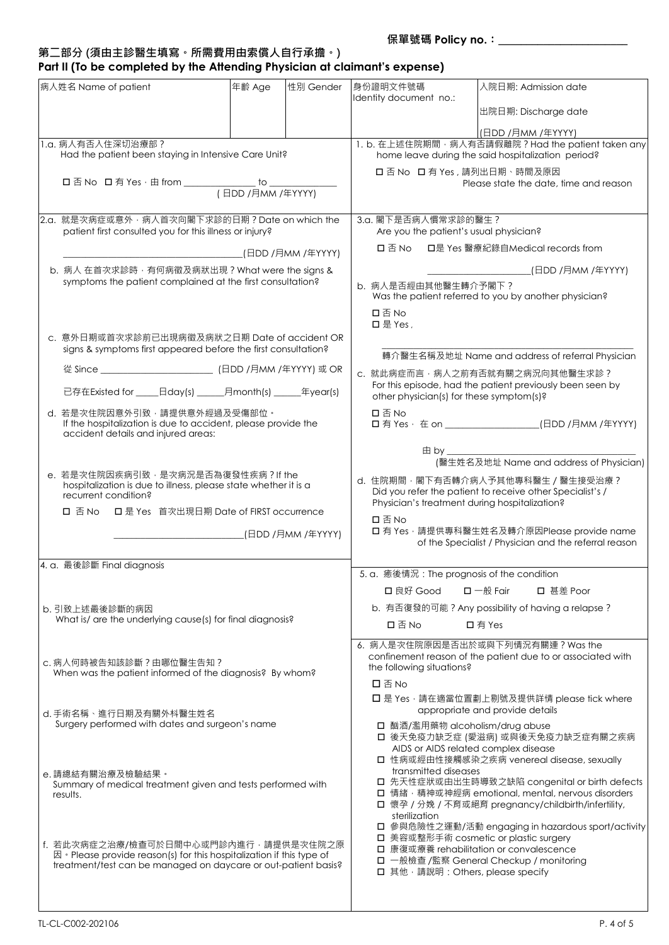## **第二部分 (須由主診醫生填寫。所需費用由索償人自行承擔。) Part II (To be completed by the Attending Physician at claimant's expense)**

|                                                         | 病人姓名 Name of patient                                                                                                                                                                         | 年齢 Age | 性別 Gender                              | 身份證明文件號碼<br>Identity document no.:                                    |                                                      | 入院日期: Admission date                                                                                                                                                                                                   |
|---------------------------------------------------------|----------------------------------------------------------------------------------------------------------------------------------------------------------------------------------------------|--------|----------------------------------------|-----------------------------------------------------------------------|------------------------------------------------------|------------------------------------------------------------------------------------------------------------------------------------------------------------------------------------------------------------------------|
|                                                         |                                                                                                                                                                                              |        |                                        |                                                                       |                                                      | 出院日期: Discharge date                                                                                                                                                                                                   |
|                                                         |                                                                                                                                                                                              |        |                                        |                                                                       |                                                      | (日DD /月MM /年YYYY)                                                                                                                                                                                                      |
| 1.a. 病人有否入住深切治療部?                                       |                                                                                                                                                                                              |        |                                        |                                                                       | 1. b. 在上述住院期間 · 病人有否請假離院 ? Had the patient taken any |                                                                                                                                                                                                                        |
| Had the patient been staying in Intensive Care Unit?    |                                                                                                                                                                                              |        |                                        |                                                                       | home leave during the said hospitalization period?   |                                                                                                                                                                                                                        |
|                                                         |                                                                                                                                                                                              |        |                                        | □ 否 No □ 有 Yes, 請列出日期、時間及原因<br>Please state the date, time and reason |                                                      |                                                                                                                                                                                                                        |
|                                                         |                                                                                                                                                                                              |        |                                        |                                                                       |                                                      |                                                                                                                                                                                                                        |
|                                                         | 2.a. 就是次病症或意外, 病人首次向閣下求診的日期? Date on which the                                                                                                                                               |        |                                        |                                                                       | 3.a. 閣下是否病人慣常求診的醫生?                                  |                                                                                                                                                                                                                        |
| patient first consulted you for this illness or injury? |                                                                                                                                                                                              |        | Are you the patient's usual physician? |                                                                       |                                                      |                                                                                                                                                                                                                        |
|                                                         |                                                                                                                                                                                              |        |                                        | □是 Yes 醫療紀錄自Medical records from<br>口否No                              |                                                      |                                                                                                                                                                                                                        |
|                                                         | b. 病人 在首次求診時, 有何病徵及病狀出現? What were the signs &                                                                                                                                               |        |                                        |                                                                       |                                                      | __________________(日DD /月MM /年YYYY)                                                                                                                                                                                    |
|                                                         | symptoms the patient complained at the first consultation?                                                                                                                                   |        |                                        |                                                                       | b. 病人是否經由其他醫生轉介予閣下?                                  | Was the patient referred to you by another physician?                                                                                                                                                                  |
|                                                         |                                                                                                                                                                                              |        |                                        | 口否No<br>口是 Yes.                                                       |                                                      |                                                                                                                                                                                                                        |
|                                                         | c. 意外日期或首次求診前已出現病徵及病狀之日期 Date of accident OR<br>signs & symptoms first appeared before the first consultation?                                                                               |        |                                        |                                                                       |                                                      |                                                                                                                                                                                                                        |
|                                                         |                                                                                                                                                                                              |        |                                        |                                                                       |                                                      | 轉介醫生名稱及地址 Name and address of referral Physician                                                                                                                                                                       |
|                                                         |                                                                                                                                                                                              |        |                                        |                                                                       |                                                      | c. 就此病症而言·病人之前有否就有關之病況向其他醫生求診?<br>For this episode, had the patient previously been seen by                                                                                                                            |
|                                                         | 已存在Existed for ______日day(s) _______月month(s) _______年year(s)                                                                                                                                |        |                                        |                                                                       |                                                      | other physician(s) for these symptom(s)?                                                                                                                                                                               |
|                                                         | d. 若是次住院因意外引致, 請提供意外經過及受傷部位。<br>If the hospitalization is due to accident, please provide the<br>accident details and injured areas:                                                         |        |                                        | 口否No                                                                  |                                                      | □ 有 Yes · 在 on _______________________(日DD /月MM /年YYYY)                                                                                                                                                                |
|                                                         |                                                                                                                                                                                              |        |                                        |                                                                       | $\boxplus$ by $\_$                                   |                                                                                                                                                                                                                        |
|                                                         | e. 若是次住院因疾病引致, 是次病況是否為復發性疾病?If the                                                                                                                                                           |        |                                        |                                                                       |                                                      | (醫生姓名及地址 Name and address of Physician)                                                                                                                                                                                |
|                                                         | hospitalization is due to illness, please state whether it is a<br>recurrent condition?                                                                                                      |        |                                        |                                                                       |                                                      | d. 住院期間, 閣下有否轉介病人予其他專科醫生 / 醫生接受治療?<br>Did you refer the patient to receive other Specialist's /                                                                                                                        |
|                                                         | □ 是 Yes 首次出現日期 Date of FIRST occurrence<br>口 否 No                                                                                                                                            |        |                                        | 口否No                                                                  |                                                      | Physician's treatment during hospitalization?                                                                                                                                                                          |
|                                                         |                                                                                                                                                                                              |        |                                        |                                                                       |                                                      | □ 有 Yes, 請提供專科醫生姓名及轉介原因Please provide name<br>of the Specialist / Physician and the referral reason                                                                                                                    |
|                                                         | 4. a. 最後診斷 Final diagnosis                                                                                                                                                                   |        |                                        |                                                                       |                                                      | 5. a. 癒後情況: The prognosis of the condition                                                                                                                                                                             |
|                                                         |                                                                                                                                                                                              |        |                                        |                                                                       | □ 良好 Good                                            | □ 甚差 Poor<br>$\square$ 一般 Fair                                                                                                                                                                                         |
|                                                         | b. 引致上述最後診斷的病因                                                                                                                                                                               |        |                                        |                                                                       |                                                      | b. 有否復發的可能? Any possibility of having a relapse?                                                                                                                                                                       |
|                                                         | What is/ are the underlying cause(s) for final diagnosis?                                                                                                                                    |        |                                        | 口否No<br>口有Yes                                                         |                                                      |                                                                                                                                                                                                                        |
|                                                         |                                                                                                                                                                                              |        |                                        |                                                                       |                                                      | 6. 病人是次住院原因是否出於或與下列情況有關連? Was the                                                                                                                                                                                      |
|                                                         | c. 病人何時被告知該診斷? 由哪位醫生告知?<br>When was the patient informed of the diagnosis? By whom?                                                                                                          |        |                                        |                                                                       | the following situations?                            | confinement reason of the patient due to or associated with                                                                                                                                                            |
|                                                         |                                                                                                                                                                                              |        |                                        | 口否No                                                                  |                                                      |                                                                                                                                                                                                                        |
|                                                         |                                                                                                                                                                                              |        |                                        |                                                                       |                                                      | □ 是 Yes · 請在適當位置劃上剔號及提供詳情 please tick where                                                                                                                                                                            |
|                                                         | d. 手術名稱、進行日期及有關外枓醫生姓名<br>Surgery performed with dates and surgeon's name                                                                                                                     |        |                                        |                                                                       |                                                      | appropriate and provide details                                                                                                                                                                                        |
|                                                         |                                                                                                                                                                                              |        |                                        |                                                                       |                                                      | □ 酗酒/濫用藥物 alcoholism/drug abuse<br>□ 後天免疫力缺乏症 (愛滋病) 或與後天免疫力缺乏症有關之疾病                                                                                                                                                    |
|                                                         |                                                                                                                                                                                              |        |                                        |                                                                       |                                                      | AIDS or AIDS related complex disease<br>□ 性病或經由性接觸感染之疾病 venereal disease, sexually                                                                                                                                     |
|                                                         | e.請總結有關治療及檢驗結果。                                                                                                                                                                              |        |                                        |                                                                       | transmitted diseases                                 |                                                                                                                                                                                                                        |
|                                                         | Summary of medical treatment given and tests performed with<br>results.                                                                                                                      |        |                                        |                                                                       |                                                      | □ 先天性症狀或由出生時導致之缺陷 congenital or birth defects<br>□ 情緒, 精神或神經病 emotional, mental, nervous disorders<br>□ 懷孕 / 分娩 / 不育或絕育 pregnancy/childbirth/infertility,                                                              |
|                                                         |                                                                                                                                                                                              |        |                                        |                                                                       | sterilization                                        |                                                                                                                                                                                                                        |
|                                                         | f. 若此次病症之治療/檢查可於日間中心或門診內進行 · 請提供是次住院之原<br>$\mathbb{E}$ · Please provide reason(s) for this hospitalization if this type of<br>treatment/test can be managed on daycare or out-patient basis? |        |                                        |                                                                       |                                                      | □ 參與危險性之運動/活動 engaging in hazardous sport/activity<br>□ 美容或整形手術 cosmetic or plastic surgery<br>□ 康復或療養 rehabilitation or convalescence<br>□ 一般檢查 /監察 General Checkup / monitoring<br>□ 其他, 請說明: Others, please specify |
|                                                         |                                                                                                                                                                                              |        |                                        |                                                                       |                                                      |                                                                                                                                                                                                                        |